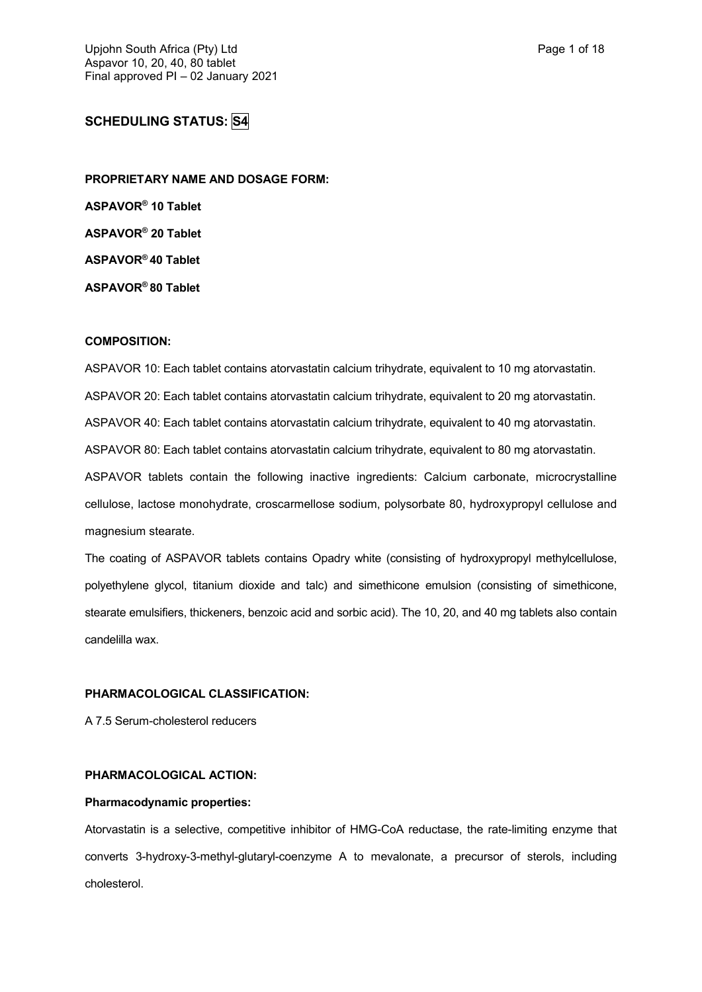# **SCHEDULING STATUS: S4**

**PROPRIETARY NAME AND DOSAGE FORM: ASPAVOR® 10 Tablet ASPAVOR® 20 Tablet ASPAVOR® 40 Tablet ASPAVOR® 80 Tablet**

## **COMPOSITION:**

ASPAVOR 10: Each tablet contains atorvastatin calcium trihydrate, equivalent to 10 mg atorvastatin. ASPAVOR 20: Each tablet contains atorvastatin calcium trihydrate, equivalent to 20 mg atorvastatin. ASPAVOR 40: Each tablet contains atorvastatin calcium trihydrate, equivalent to 40 mg atorvastatin. ASPAVOR 80: Each tablet contains atorvastatin calcium trihydrate, equivalent to 80 mg atorvastatin. ASPAVOR tablets contain the following inactive ingredients: Calcium carbonate, microcrystalline cellulose, lactose monohydrate, croscarmellose sodium, polysorbate 80, hydroxypropyl cellulose and magnesium stearate.

The coating of ASPAVOR tablets contains Opadry white (consisting of hydroxypropyl methylcellulose, polyethylene glycol, titanium dioxide and talc) and simethicone emulsion (consisting of simethicone, stearate emulsifiers, thickeners, benzoic acid and sorbic acid). The 10, 20, and 40 mg tablets also contain candelilla wax.

#### **PHARMACOLOGICAL CLASSIFICATION:**

A 7.5 Serum-cholesterol reducers

## **PHARMACOLOGICAL ACTION:**

#### **Pharmacodynamic properties:**

Atorvastatin is a selective, competitive inhibitor of HMG-CoA reductase, the rate-limiting enzyme that converts 3-hydroxy-3-methyl-glutaryl-coenzyme A to mevalonate, a precursor of sterols, including cholesterol.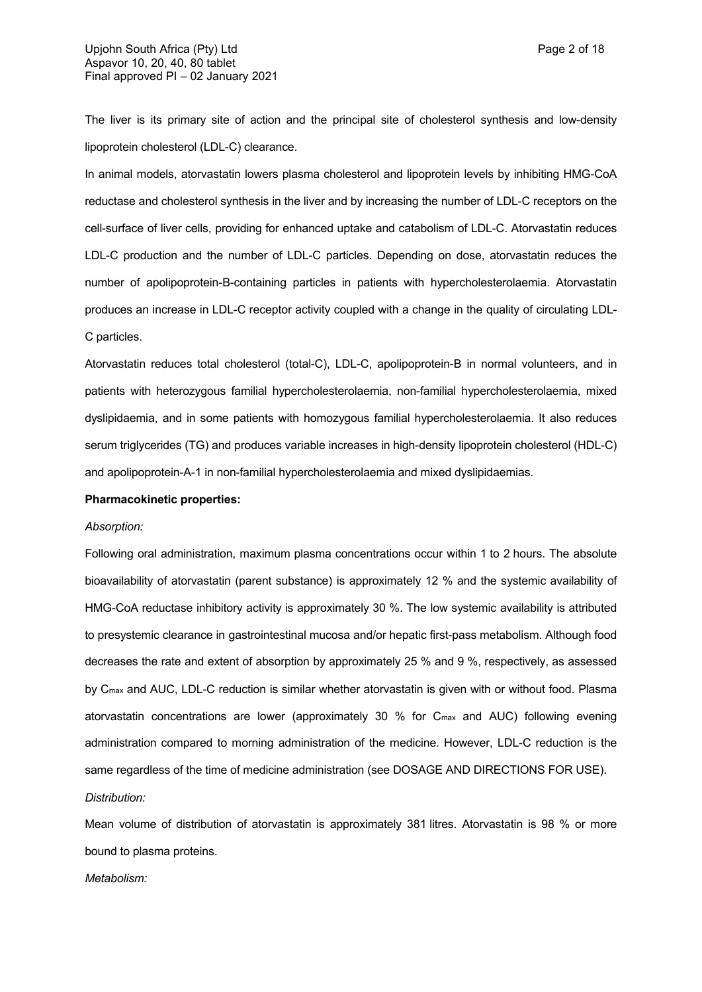The liver is its primary site of action and the principal site of cholesterol synthesis and low-density lipoprotein cholesterol (LDL-C) clearance.

In animal models, atorvastatin lowers plasma cholesterol and lipoprotein levels by inhibiting HMG-CoA reductase and cholesterol synthesis in the liver and by increasing the number of LDL-C receptors on the cell-surface of liver cells, providing for enhanced uptake and catabolism of LDL-C. Atorvastatin reduces LDL-C production and the number of LDL-C particles. Depending on dose, atorvastatin reduces the number of apolipoprotein-B-containing particles in patients with hypercholesterolaemia. Atorvastatin produces an increase in LDL-C receptor activity coupled with a change in the quality of circulating LDL-C particles.

Atorvastatin reduces total cholesterol (total-C), LDL-C, apolipoprotein-B in normal volunteers, and in patients with heterozygous familial hypercholesterolaemia, non-familial hypercholesterolaemia, mixed dyslipidaemia, and in some patients with homozygous familial hypercholesterolaemia. It also reduces serum triglycerides (TG) and produces variable increases in high-density lipoprotein cholesterol (HDL-C) and apolipoprotein-A-1 in non-familial hypercholesterolaemia and mixed dyslipidaemias.

### **Pharmacokinetic properties:**

#### *Absorption:*

Following oral administration, maximum plasma concentrations occur within 1 to 2 hours. The absolute bioavailability of atorvastatin (parent substance) is approximately 12 % and the systemic availability of HMG-CoA reductase inhibitory activity is approximately 30 %. The low systemic availability is attributed to presystemic clearance in gastrointestinal mucosa and/or hepatic first-pass metabolism. Although food decreases the rate and extent of absorption by approximately 25 % and 9 %, respectively, as assessed by C<sub>max</sub> and AUC, LDL-C reduction is similar whether atorvastatin is given with or without food. Plasma atorvastatin concentrations are lower (approximately 30 % for Cmax and AUC) following evening administration compared to morning administration of the medicine. However, LDL-C reduction is the same regardless of the time of medicine administration (see DOSAGE AND DIRECTIONS FOR USE). *Distribution:*

Mean volume of distribution of atorvastatin is approximately 381 litres. Atorvastatin is 98 % or more bound to plasma proteins.

*Metabolism:*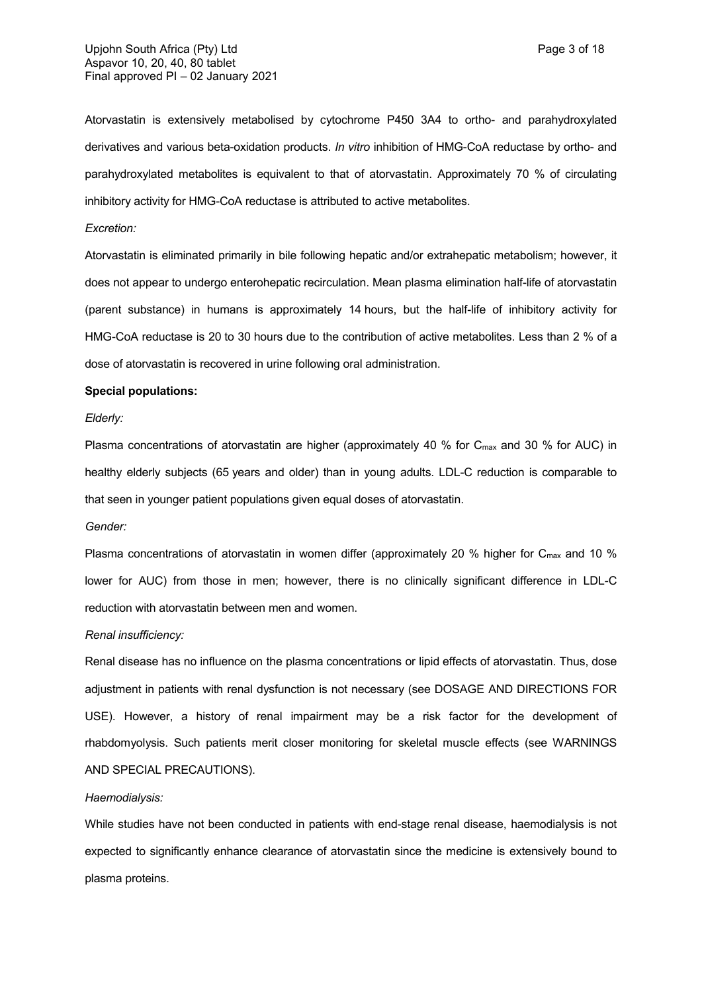Atorvastatin is extensively metabolised by cytochrome P450 3A4 to ortho- and parahydroxylated derivatives and various beta-oxidation products. *In vitro* inhibition of HMG-CoA reductase by ortho- and parahydroxylated metabolites is equivalent to that of atorvastatin. Approximately 70 % of circulating inhibitory activity for HMG-CoA reductase is attributed to active metabolites.

### *Excretion:*

Atorvastatin is eliminated primarily in bile following hepatic and/or extrahepatic metabolism; however, it does not appear to undergo enterohepatic recirculation. Mean plasma elimination half-life of atorvastatin (parent substance) in humans is approximately 14 hours, but the half-life of inhibitory activity for HMG-CoA reductase is 20 to 30 hours due to the contribution of active metabolites. Less than 2 % of a dose of atorvastatin is recovered in urine following oral administration.

#### **Special populations:**

## *Elderly:*

Plasma concentrations of atorvastatin are higher (approximately 40 % for C<sub>max</sub> and 30 % for AUC) in healthy elderly subjects (65 years and older) than in young adults. LDL-C reduction is comparable to that seen in younger patient populations given equal doses of atorvastatin.

#### *Gender:*

Plasma concentrations of atorvastatin in women differ (approximately 20 % higher for  $C_{\text{max}}$  and 10 % lower for AUC) from those in men; however, there is no clinically significant difference in LDL-C reduction with atorvastatin between men and women.

#### *Renal insufficiency:*

Renal disease has no influence on the plasma concentrations or lipid effects of atorvastatin. Thus, dose adjustment in patients with renal dysfunction is not necessary (see DOSAGE AND DIRECTIONS FOR USE). However, a history of renal impairment may be a risk factor for the development of rhabdomyolysis. Such patients merit closer monitoring for skeletal muscle effects (see WARNINGS AND SPECIAL PRECAUTIONS).

#### *Haemodialysis:*

While studies have not been conducted in patients with end-stage renal disease, haemodialysis is not expected to significantly enhance clearance of atorvastatin since the medicine is extensively bound to plasma proteins.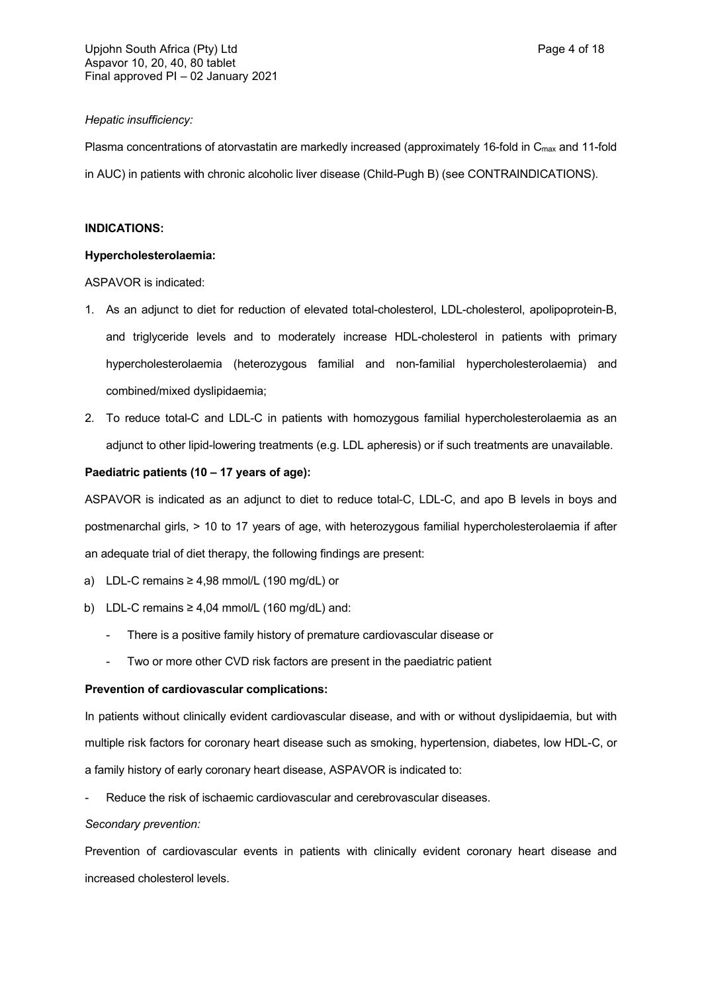## *Hepatic insufficiency:*

Plasma concentrations of atorvastatin are markedly increased (approximately 16-fold in C<sub>max</sub> and 11-fold in AUC) in patients with chronic alcoholic liver disease (Child-Pugh B) (see CONTRAINDICATIONS).

## **INDICATIONS:**

### **Hypercholesterolaemia:**

ASPAVOR is indicated:

- 1. As an adjunct to diet for reduction of elevated total-cholesterol, LDL-cholesterol, apolipoprotein-B, and triglyceride levels and to moderately increase HDL-cholesterol in patients with primary hypercholesterolaemia (heterozygous familial and non-familial hypercholesterolaemia) and combined/mixed dyslipidaemia;
- 2. To reduce total-C and LDL-C in patients with homozygous familial hypercholesterolaemia as an adjunct to other lipid-lowering treatments (e.g. LDL apheresis) or if such treatments are unavailable.

## **Paediatric patients (10 – 17 years of age):**

ASPAVOR is indicated as an adjunct to diet to reduce total-C, LDL-C, and apo B levels in boys and postmenarchal girls, > 10 to 17 years of age, with heterozygous familial hypercholesterolaemia if after an adequate trial of diet therapy, the following findings are present:

- a) LDL-C remains ≥ 4,98 mmol/L (190 mg/dL) or
- b) LDL-C remains  $\geq 4.04$  mmol/L (160 mg/dL) and:
	- There is a positive family history of premature cardiovascular disease or
	- Two or more other CVD risk factors are present in the paediatric patient

## **Prevention of cardiovascular complications:**

In patients without clinically evident cardiovascular disease, and with or without dyslipidaemia, but with multiple risk factors for coronary heart disease such as smoking, hypertension, diabetes, low HDL-C, or a family history of early coronary heart disease, ASPAVOR is indicated to:

Reduce the risk of ischaemic cardiovascular and cerebrovascular diseases.

## *Secondary prevention:*

Prevention of cardiovascular events in patients with clinically evident coronary heart disease and increased cholesterol levels.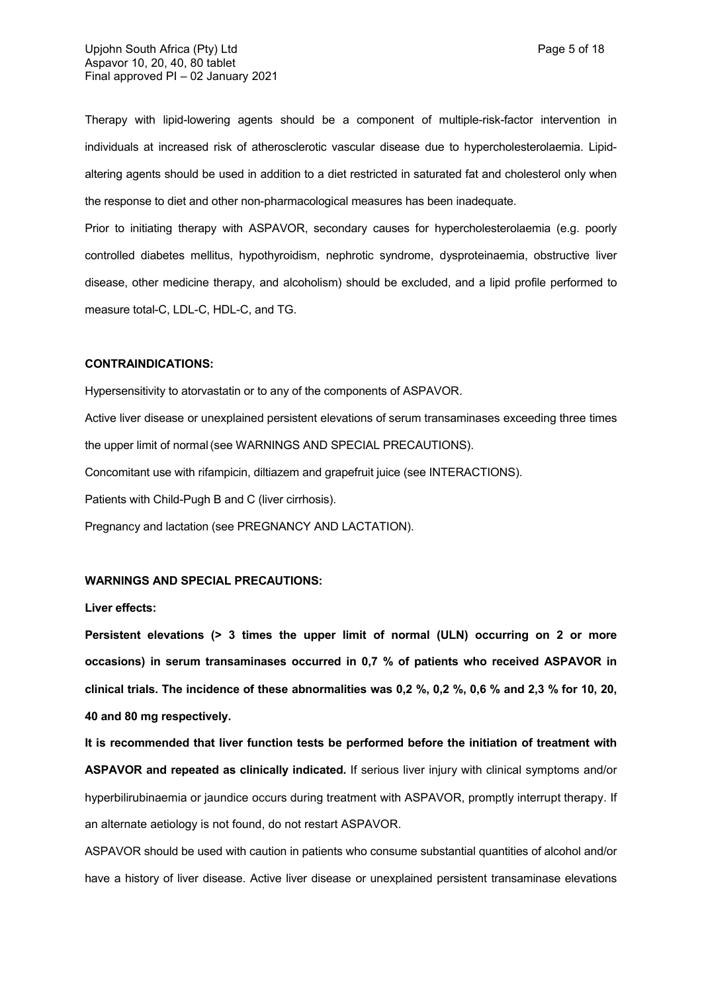Therapy with lipid-lowering agents should be a component of multiple-risk-factor intervention in individuals at increased risk of atherosclerotic vascular disease due to hypercholesterolaemia. Lipidaltering agents should be used in addition to a diet restricted in saturated fat and cholesterol only when the response to diet and other non-pharmacological measures has been inadequate.

Prior to initiating therapy with ASPAVOR, secondary causes for hypercholesterolaemia (e.g. poorly controlled diabetes mellitus, hypothyroidism, nephrotic syndrome, dysproteinaemia, obstructive liver disease, other medicine therapy, and alcoholism) should be excluded, and a lipid profile performed to measure total-C, LDL-C, HDL-C, and TG.

### **CONTRAINDICATIONS:**

Hypersensitivity to atorvastatin or to any of the components of ASPAVOR.

Active liver disease or unexplained persistent elevations of serum transaminases exceeding three times the upper limit of normal(see WARNINGS AND SPECIAL PRECAUTIONS).

Concomitant use with rifampicin, diltiazem and grapefruit juice (see INTERACTIONS).

Patients with Child-Pugh B and C (liver cirrhosis).

Pregnancy and lactation (see PREGNANCY AND LACTATION).

### **WARNINGS AND SPECIAL PRECAUTIONS:**

#### **Liver effects:**

**Persistent elevations (> 3 times the upper limit of normal (ULN) occurring on 2 or more occasions) in serum transaminases occurred in 0,7 % of patients who received ASPAVOR in clinical trials. The incidence of these abnormalities was 0,2 %, 0,2 %, 0,6 % and 2,3 % for 10, 20, 40 and 80 mg respectively.**

**It is recommended that liver function tests be performed before the initiation of treatment with ASPAVOR and repeated as clinically indicated.** If serious liver injury with clinical symptoms and/or hyperbilirubinaemia or jaundice occurs during treatment with ASPAVOR, promptly interrupt therapy. If an alternate aetiology is not found, do not restart ASPAVOR.

ASPAVOR should be used with caution in patients who consume substantial quantities of alcohol and/or have a history of liver disease. Active liver disease or unexplained persistent transaminase elevations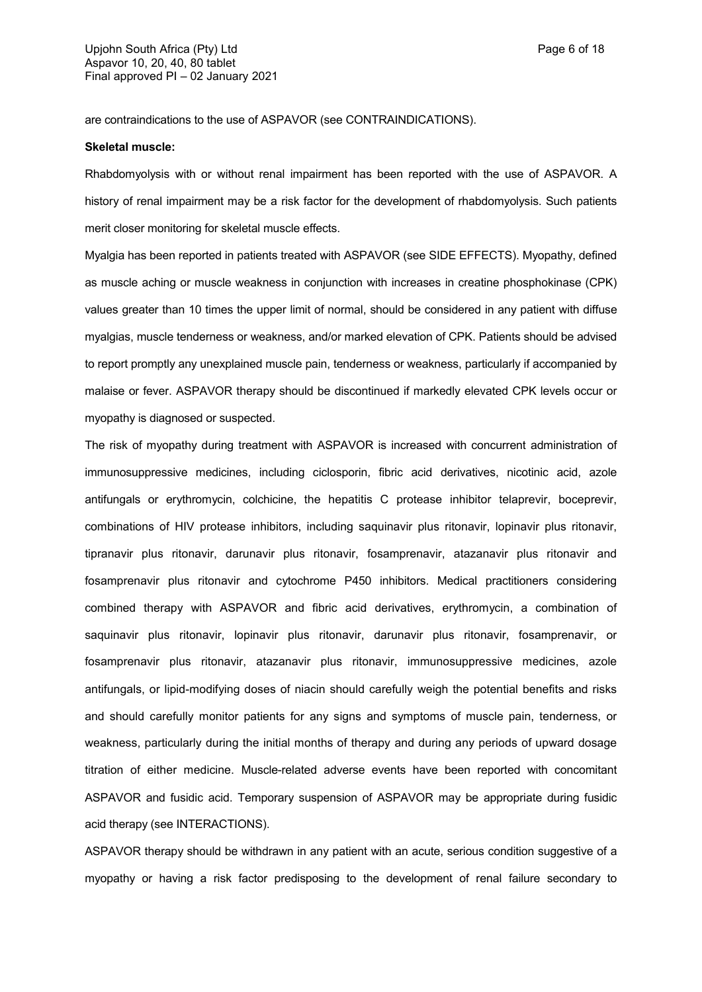are contraindications to the use of ASPAVOR (see CONTRAINDICATIONS).

### **Skeletal muscle:**

Rhabdomyolysis with or without renal impairment has been reported with the use of ASPAVOR. A history of renal impairment may be a risk factor for the development of rhabdomyolysis. Such patients merit closer monitoring for skeletal muscle effects.

Myalgia has been reported in patients treated with ASPAVOR (see SIDE EFFECTS). Myopathy, defined as muscle aching or muscle weakness in conjunction with increases in creatine phosphokinase (CPK) values greater than 10 times the upper limit of normal, should be considered in any patient with diffuse myalgias, muscle tenderness or weakness, and/or marked elevation of CPK. Patients should be advised to report promptly any unexplained muscle pain, tenderness or weakness, particularly if accompanied by malaise or fever. ASPAVOR therapy should be discontinued if markedly elevated CPK levels occur or myopathy is diagnosed or suspected.

The risk of myopathy during treatment with ASPAVOR is increased with concurrent administration of immunosuppressive medicines, including ciclosporin, fibric acid derivatives, nicotinic acid, azole antifungals or erythromycin, colchicine, the hepatitis C protease inhibitor telaprevir, boceprevir, combinations of HIV protease inhibitors, including saquinavir plus ritonavir, lopinavir plus ritonavir, tipranavir plus ritonavir, darunavir plus ritonavir, fosamprenavir, atazanavir plus ritonavir and fosamprenavir plus ritonavir and cytochrome P450 inhibitors. Medical practitioners considering combined therapy with ASPAVOR and fibric acid derivatives, erythromycin, a combination of saquinavir plus ritonavir, lopinavir plus ritonavir, darunavir plus ritonavir, fosamprenavir, or fosamprenavir plus ritonavir, atazanavir plus ritonavir, immunosuppressive medicines, azole antifungals, or lipid-modifying doses of niacin should carefully weigh the potential benefits and risks and should carefully monitor patients for any signs and symptoms of muscle pain, tenderness, or weakness, particularly during the initial months of therapy and during any periods of upward dosage titration of either medicine. Muscle-related adverse events have been reported with concomitant ASPAVOR and fusidic acid. Temporary suspension of ASPAVOR may be appropriate during fusidic acid therapy (see INTERACTIONS).

ASPAVOR therapy should be withdrawn in any patient with an acute, serious condition suggestive of a myopathy or having a risk factor predisposing to the development of renal failure secondary to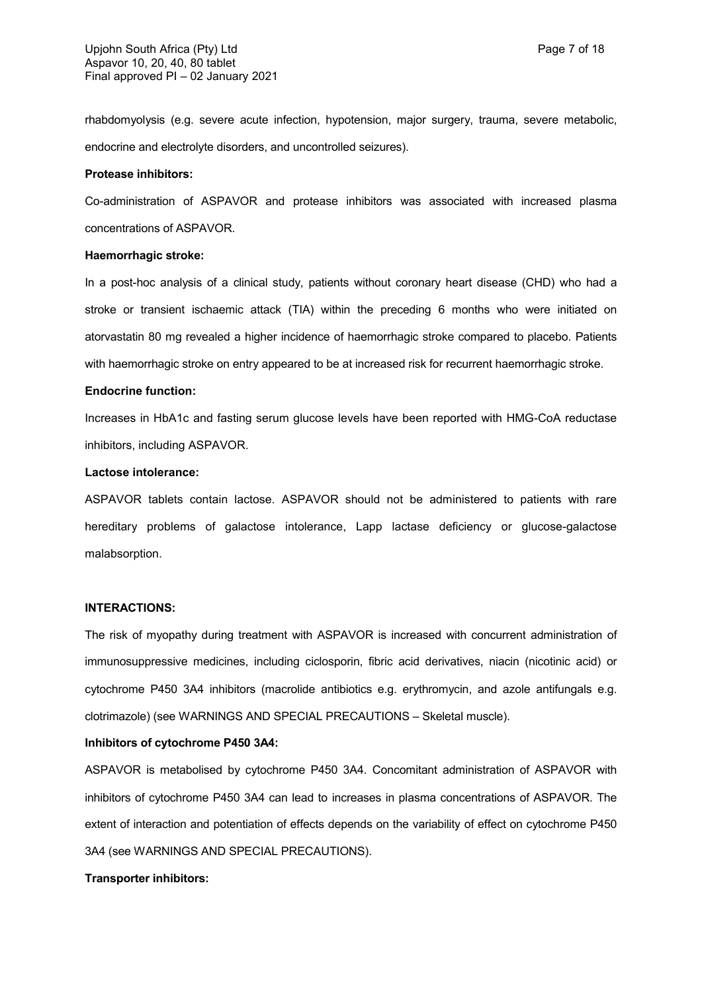rhabdomyolysis (e.g. severe acute infection, hypotension, major surgery, trauma, severe metabolic, endocrine and electrolyte disorders, and uncontrolled seizures).

### **Protease inhibitors:**

Co-administration of ASPAVOR and protease inhibitors was associated with increased plasma concentrations of ASPAVOR.

### **Haemorrhagic stroke:**

In a post-hoc analysis of a clinical study, patients without coronary heart disease (CHD) who had a stroke or transient ischaemic attack (TIA) within the preceding 6 months who were initiated on atorvastatin 80 mg revealed a higher incidence of haemorrhagic stroke compared to placebo. Patients with haemorrhagic stroke on entry appeared to be at increased risk for recurrent haemorrhagic stroke.

#### **Endocrine function:**

Increases in HbA1c and fasting serum glucose levels have been reported with HMG-CoA reductase inhibitors, including ASPAVOR.

### **Lactose intolerance:**

ASPAVOR tablets contain lactose. ASPAVOR should not be administered to patients with rare hereditary problems of galactose intolerance, Lapp lactase deficiency or glucose-galactose malabsorption.

#### **INTERACTIONS:**

The risk of myopathy during treatment with ASPAVOR is increased with concurrent administration of immunosuppressive medicines, including ciclosporin, fibric acid derivatives, niacin (nicotinic acid) or cytochrome P450 3A4 inhibitors (macrolide antibiotics e.g. erythromycin, and azole antifungals e.g. clotrimazole) (see WARNINGS AND SPECIAL PRECAUTIONS – Skeletal muscle).

#### **Inhibitors of cytochrome P450 3A4:**

ASPAVOR is metabolised by cytochrome P450 3A4. Concomitant administration of ASPAVOR with inhibitors of cytochrome P450 3A4 can lead to increases in plasma concentrations of ASPAVOR. The extent of interaction and potentiation of effects depends on the variability of effect on cytochrome P450 3A4 (see WARNINGS AND SPECIAL PRECAUTIONS).

#### **Transporter inhibitors:**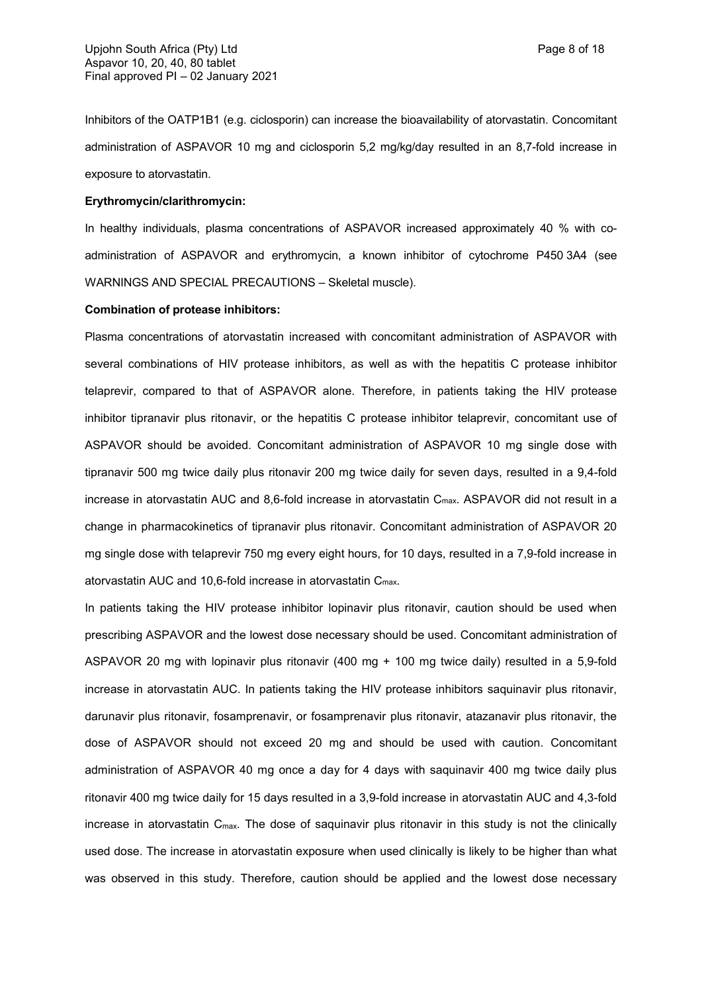Inhibitors of the OATP1B1 (e.g. ciclosporin) can increase the bioavailability of atorvastatin. Concomitant administration of ASPAVOR 10 mg and ciclosporin 5,2 mg/kg/day resulted in an 8,7-fold increase in exposure to atorvastatin.

## **Erythromycin/clarithromycin:**

In healthy individuals, plasma concentrations of ASPAVOR increased approximately 40 % with coadministration of ASPAVOR and erythromycin, a known inhibitor of cytochrome P450 3A4 (see WARNINGS AND SPECIAL PRECAUTIONS – Skeletal muscle).

### **Combination of protease inhibitors:**

Plasma concentrations of atorvastatin increased with concomitant administration of ASPAVOR with several combinations of HIV protease inhibitors, as well as with the hepatitis C protease inhibitor telaprevir, compared to that of ASPAVOR alone. Therefore, in patients taking the HIV protease inhibitor tipranavir plus ritonavir, or the hepatitis C protease inhibitor telaprevir, concomitant use of ASPAVOR should be avoided. Concomitant administration of ASPAVOR 10 mg single dose with tipranavir 500 mg twice daily plus ritonavir 200 mg twice daily for seven days, resulted in a 9,4-fold increase in atorvastatin AUC and 8,6-fold increase in atorvastatin  $C_{\text{max}}$ . ASPAVOR did not result in a change in pharmacokinetics of tipranavir plus ritonavir. Concomitant administration of ASPAVOR 20 mg single dose with telaprevir 750 mg every eight hours, for 10 days, resulted in a 7,9-fold increase in atorvastatin AUC and 10,6-fold increase in atorvastatin Cmax.

In patients taking the HIV protease inhibitor lopinavir plus ritonavir, caution should be used when prescribing ASPAVOR and the lowest dose necessary should be used. Concomitant administration of ASPAVOR 20 mg with lopinavir plus ritonavir (400 mg + 100 mg twice daily) resulted in a 5,9-fold increase in atorvastatin AUC. In patients taking the HIV protease inhibitors saquinavir plus ritonavir, darunavir plus ritonavir, fosamprenavir, or fosamprenavir plus ritonavir, atazanavir plus ritonavir, the dose of ASPAVOR should not exceed 20 mg and should be used with caution. Concomitant administration of ASPAVOR 40 mg once a day for 4 days with saquinavir 400 mg twice daily plus ritonavir 400 mg twice daily for 15 days resulted in a 3,9-fold increase in atorvastatin AUC and 4,3-fold increase in atorvastatin  $C_{\text{max}}$ . The dose of saquinavir plus ritonavir in this study is not the clinically used dose. The increase in atorvastatin exposure when used clinically is likely to be higher than what was observed in this study. Therefore, caution should be applied and the lowest dose necessary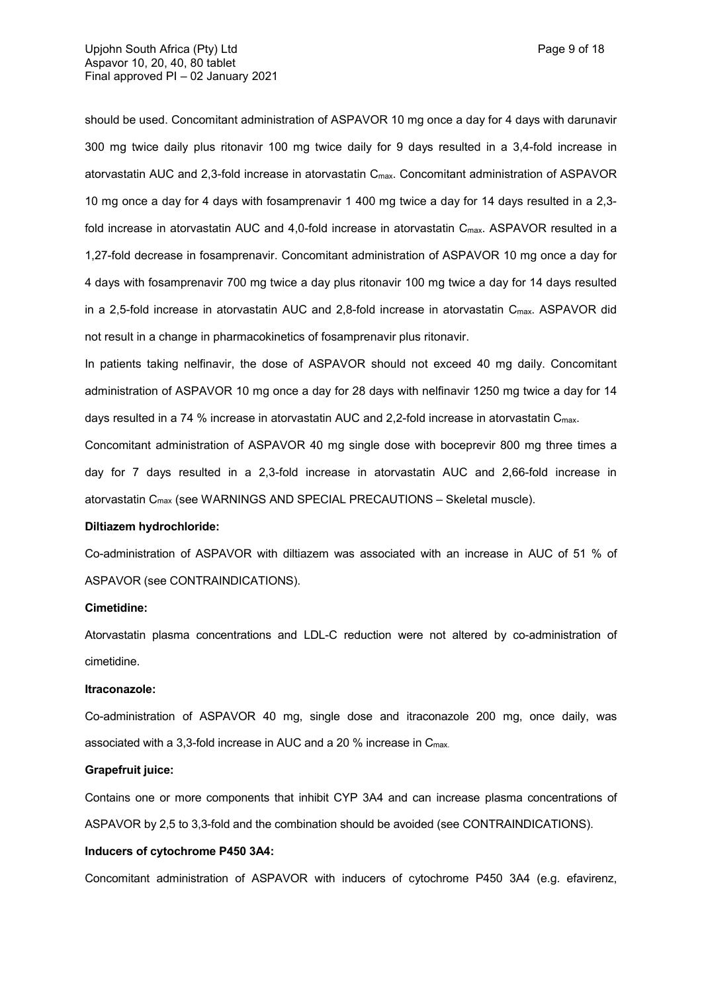should be used. Concomitant administration of ASPAVOR 10 mg once a day for 4 days with darunavir 300 mg twice daily plus ritonavir 100 mg twice daily for 9 days resulted in a 3,4-fold increase in atorvastatin AUC and 2,3-fold increase in atorvastatin Cmax. Concomitant administration of ASPAVOR 10 mg once a day for 4 days with fosamprenavir 1 400 mg twice a day for 14 days resulted in a 2,3 fold increase in atorvastatin AUC and 4,0-fold increase in atorvastatin C<sub>max</sub>. ASPAVOR resulted in a 1,27-fold decrease in fosamprenavir. Concomitant administration of ASPAVOR 10 mg once a day for 4 days with fosamprenavir 700 mg twice a day plus ritonavir 100 mg twice a day for 14 days resulted in a 2,5-fold increase in atorvastatin AUC and 2,8-fold increase in atorvastatin  $C_{\text{max}}$ . ASPAVOR did not result in a change in pharmacokinetics of fosamprenavir plus ritonavir.

In patients taking nelfinavir, the dose of ASPAVOR should not exceed 40 mg daily. Concomitant administration of ASPAVOR 10 mg once a day for 28 days with nelfinavir 1250 mg twice a day for 14 days resulted in a 74 % increase in atorvastatin AUC and 2,2-fold increase in atorvastatin C<sub>max</sub>.

Concomitant administration of ASPAVOR 40 mg single dose with boceprevir 800 mg three times a day for 7 days resulted in a 2,3-fold increase in atorvastatin AUC and 2,66-fold increase in atorvastatin Cmax (see WARNINGS AND SPECIAL PRECAUTIONS – Skeletal muscle).

#### **Diltiazem hydrochloride:**

Co-administration of ASPAVOR with diltiazem was associated with an increase in AUC of 51 % of ASPAVOR (see CONTRAINDICATIONS).

#### **Cimetidine:**

Atorvastatin plasma concentrations and LDL-C reduction were not altered by co-administration of cimetidine.

#### **Itraconazole:**

Co-administration of ASPAVOR 40 mg, single dose and itraconazole 200 mg, once daily, was associated with a 3,3-fold increase in AUC and a 20 % increase in Cmax.

## **Grapefruit juice:**

Contains one or more components that inhibit CYP 3A4 and can increase plasma concentrations of ASPAVOR by 2,5 to 3,3-fold and the combination should be avoided (see CONTRAINDICATIONS).

#### **Inducers of cytochrome P450 3A4:**

Concomitant administration of ASPAVOR with inducers of cytochrome P450 3A4 (e.g. efavirenz,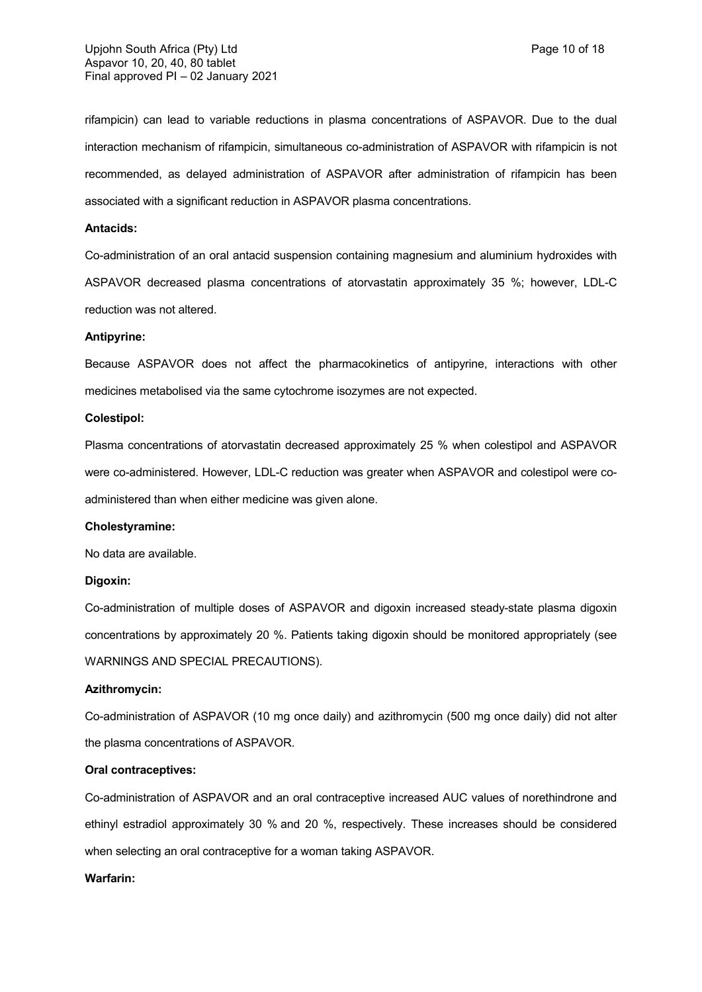rifampicin) can lead to variable reductions in plasma concentrations of ASPAVOR. Due to the dual interaction mechanism of rifampicin, simultaneous co-administration of ASPAVOR with rifampicin is not recommended, as delayed administration of ASPAVOR after administration of rifampicin has been associated with a significant reduction in ASPAVOR plasma concentrations.

### **Antacids:**

Co-administration of an oral antacid suspension containing magnesium and aluminium hydroxides with ASPAVOR decreased plasma concentrations of atorvastatin approximately 35 %; however, LDL-C reduction was not altered.

#### **Antipyrine:**

Because ASPAVOR does not affect the pharmacokinetics of antipyrine, interactions with other medicines metabolised via the same cytochrome isozymes are not expected.

### **Colestipol:**

Plasma concentrations of atorvastatin decreased approximately 25 % when colestipol and ASPAVOR were co-administered. However, LDL-C reduction was greater when ASPAVOR and colestipol were coadministered than when either medicine was given alone.

### **Cholestyramine:**

No data are available.

#### **Digoxin:**

Co-administration of multiple doses of ASPAVOR and digoxin increased steady-state plasma digoxin concentrations by approximately 20 %. Patients taking digoxin should be monitored appropriately (see WARNINGS AND SPECIAL PRECAUTIONS).

#### **Azithromycin:**

Co-administration of ASPAVOR (10 mg once daily) and azithromycin (500 mg once daily) did not alter the plasma concentrations of ASPAVOR.

## **Oral contraceptives:**

Co-administration of ASPAVOR and an oral contraceptive increased AUC values of norethindrone and ethinyl estradiol approximately 30 % and 20 %, respectively. These increases should be considered when selecting an oral contraceptive for a woman taking ASPAVOR.

#### **Warfarin:**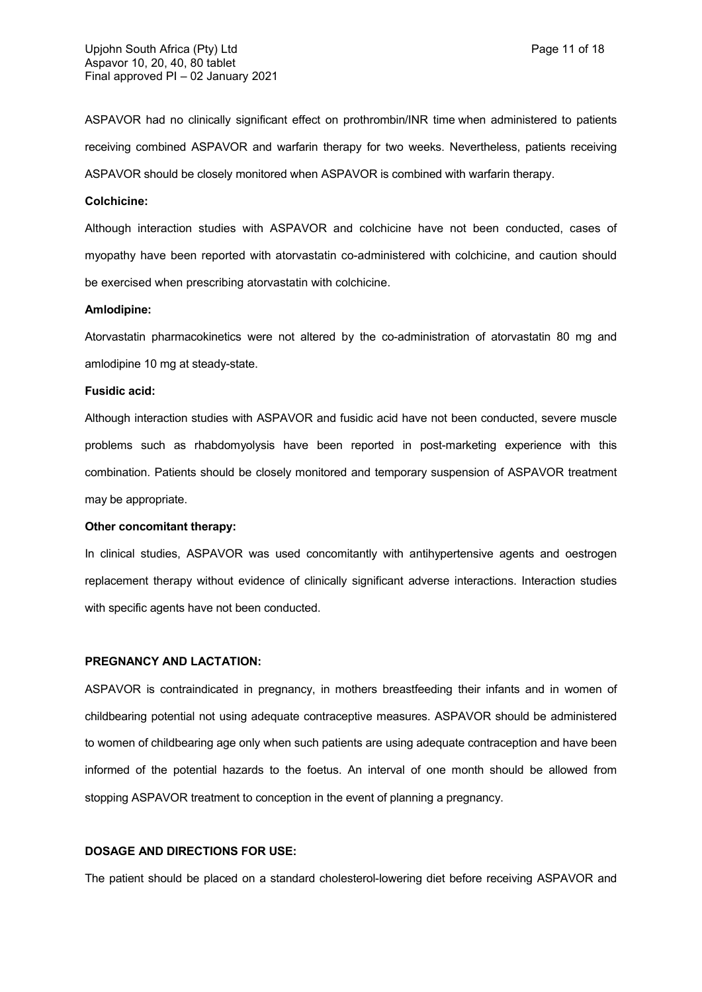ASPAVOR had no clinically significant effect on prothrombin/INR time when administered to patients receiving combined ASPAVOR and warfarin therapy for two weeks. Nevertheless, patients receiving ASPAVOR should be closely monitored when ASPAVOR is combined with warfarin therapy.

## **Colchicine:**

Although interaction studies with ASPAVOR and colchicine have not been conducted, cases of myopathy have been reported with atorvastatin co-administered with colchicine, and caution should be exercised when prescribing atorvastatin with colchicine.

#### **Amlodipine:**

Atorvastatin pharmacokinetics were not altered by the co-administration of atorvastatin 80 mg and amlodipine 10 mg at steady-state.

### **Fusidic acid:**

Although interaction studies with ASPAVOR and fusidic acid have not been conducted, severe muscle problems such as rhabdomyolysis have been reported in post-marketing experience with this combination. Patients should be closely monitored and temporary suspension of ASPAVOR treatment may be appropriate.

## **Other concomitant therapy:**

In clinical studies, ASPAVOR was used concomitantly with antihypertensive agents and oestrogen replacement therapy without evidence of clinically significant adverse interactions. Interaction studies with specific agents have not been conducted.

#### **PREGNANCY AND LACTATION:**

ASPAVOR is contraindicated in pregnancy, in mothers breastfeeding their infants and in women of childbearing potential not using adequate contraceptive measures. ASPAVOR should be administered to women of childbearing age only when such patients are using adequate contraception and have been informed of the potential hazards to the foetus. An interval of one month should be allowed from stopping ASPAVOR treatment to conception in the event of planning a pregnancy.

## **DOSAGE AND DIRECTIONS FOR USE:**

The patient should be placed on a standard cholesterol-lowering diet before receiving ASPAVOR and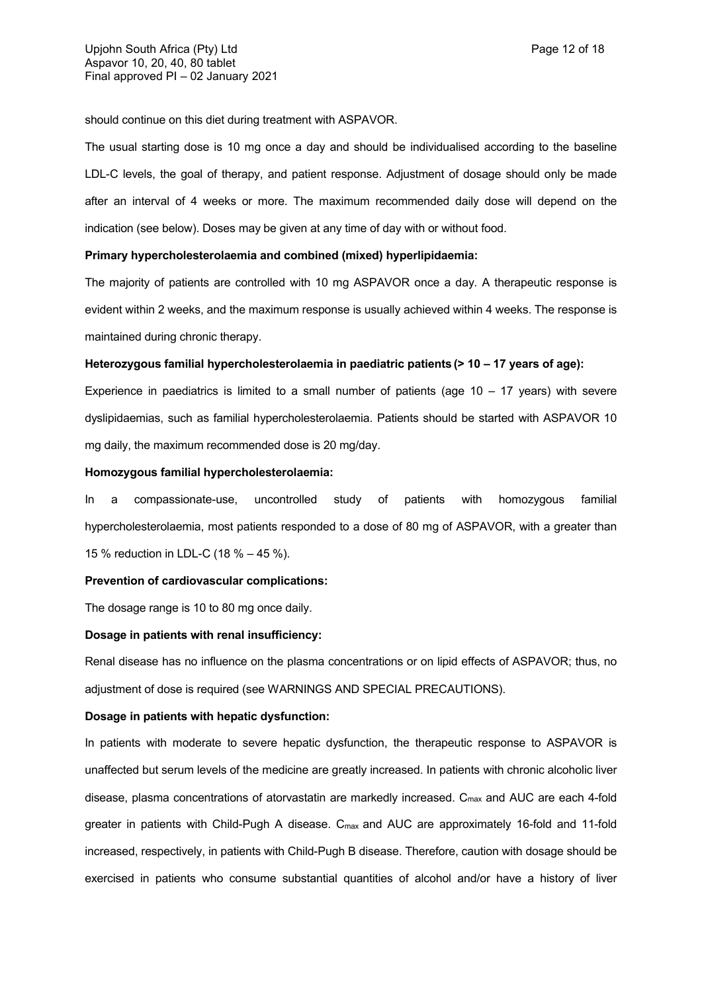should continue on this diet during treatment with ASPAVOR.

The usual starting dose is 10 mg once a day and should be individualised according to the baseline LDL-C levels, the goal of therapy, and patient response. Adjustment of dosage should only be made after an interval of 4 weeks or more. The maximum recommended daily dose will depend on the indication (see below). Doses may be given at any time of day with or without food.

## **Primary hypercholesterolaemia and combined (mixed) hyperlipidaemia:**

The majority of patients are controlled with 10 mg ASPAVOR once a day. A therapeutic response is evident within 2 weeks, and the maximum response is usually achieved within 4 weeks. The response is maintained during chronic therapy.

#### **Heterozygous familial hypercholesterolaemia in paediatric patients (> 10 – 17 years of age):**

Experience in paediatrics is limited to a small number of patients (age  $10 - 17$  years) with severe dyslipidaemias, such as familial hypercholesterolaemia. Patients should be started with ASPAVOR 10 mg daily, the maximum recommended dose is 20 mg/day.

### **Homozygous familial hypercholesterolaemia:**

In a compassionate-use, uncontrolled study of patients with homozygous familial hypercholesterolaemia, most patients responded to a dose of 80 mg of ASPAVOR, with a greater than 15 % reduction in LDL-C (18 % – 45 %).

## **Prevention of cardiovascular complications:**

The dosage range is 10 to 80 mg once daily.

#### **Dosage in patients with renal insufficiency:**

Renal disease has no influence on the plasma concentrations or on lipid effects of ASPAVOR; thus, no adjustment of dose is required (see WARNINGS AND SPECIAL PRECAUTIONS).

### **Dosage in patients with hepatic dysfunction:**

In patients with moderate to severe hepatic dysfunction, the therapeutic response to ASPAVOR is unaffected but serum levels of the medicine are greatly increased. In patients with chronic alcoholic liver disease, plasma concentrations of atorvastatin are markedly increased. C<sub>max</sub> and AUC are each 4-fold greater in patients with Child-Pugh A disease. C<sub>max</sub> and AUC are approximately 16-fold and 11-fold increased, respectively, in patients with Child-Pugh B disease. Therefore, caution with dosage should be exercised in patients who consume substantial quantities of alcohol and/or have a history of liver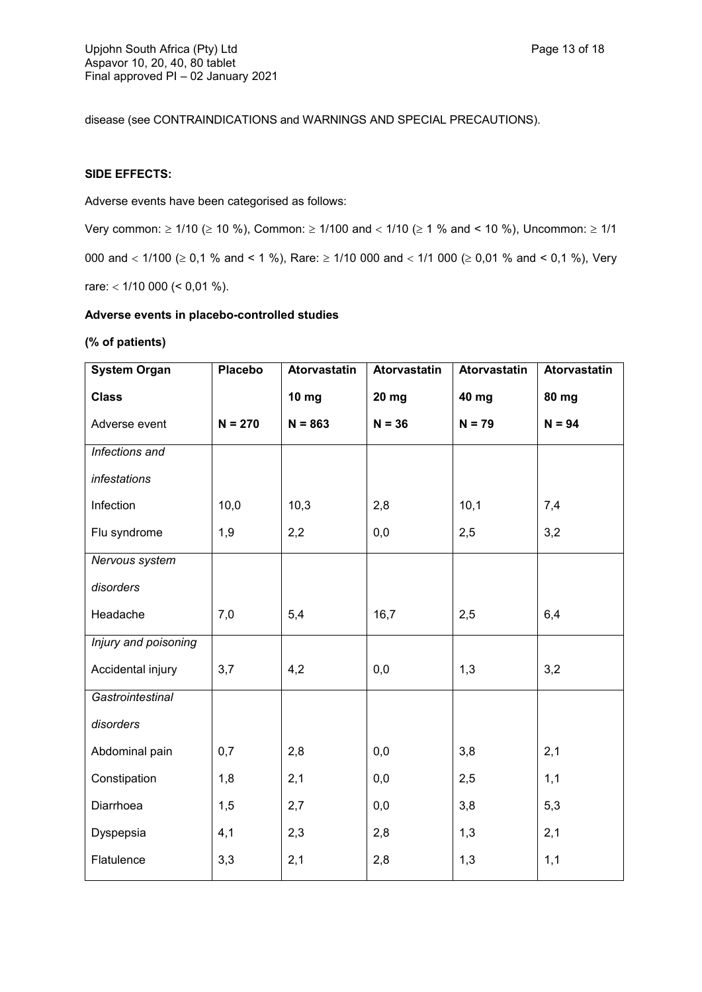disease (see CONTRAINDICATIONS and WARNINGS AND SPECIAL PRECAUTIONS).

# **SIDE EFFECTS:**

Adverse events have been categorised as follows:

Very common:  $\geq 1/10$  ( $\geq 10$  %), Common:  $\geq 1/100$  and  $< 1/10$  ( $\geq 1$  % and  $< 10$  %), Uncommon:  $\geq 1/1$ 000 and  $<$  1/100 ( $\ge$  0,1 % and < 1 %), Rare:  $\ge$  1/10 000 and  $<$  1/1 000 ( $\ge$  0,01 % and < 0,1 %), Very rare:  $<$  1/10 000 ( $<$  0,01 %).

## **Adverse events in placebo-controlled studies**

## **(% of patients)**

| <b>System Organ</b>  | Placebo   | Atorvastatin | <b>Atorvastatin</b> | Atorvastatin | Atorvastatin |
|----------------------|-----------|--------------|---------------------|--------------|--------------|
| <b>Class</b>         |           | <b>10 mg</b> | 20 mg               | 40 mg        | 80 mg        |
| Adverse event        | $N = 270$ | $N = 863$    | $N = 36$            | $N = 79$     | $N = 94$     |
| Infections and       |           |              |                     |              |              |
| infestations         |           |              |                     |              |              |
| Infection            | 10,0      | 10,3         | 2,8                 | 10,1         | 7,4          |
| Flu syndrome         | 1,9       | 2,2          | 0,0                 | 2,5          | 3,2          |
| Nervous system       |           |              |                     |              |              |
| disorders            |           |              |                     |              |              |
| Headache             | 7,0       | 5,4          | 16,7                | 2,5          | 6,4          |
| Injury and poisoning |           |              |                     |              |              |
| Accidental injury    | 3,7       | 4,2          | 0,0                 | 1,3          | 3,2          |
| Gastrointestinal     |           |              |                     |              |              |
| disorders            |           |              |                     |              |              |
| Abdominal pain       | 0,7       | 2,8          | 0,0                 | 3,8          | 2,1          |
| Constipation         | 1,8       | 2,1          | 0,0                 | 2,5          | 1,1          |
| Diarrhoea            | 1,5       | 2,7          | 0,0                 | 3,8          | 5,3          |
| Dyspepsia            | 4,1       | 2,3          | 2,8                 | 1,3          | 2,1          |
| Flatulence           | 3,3       | 2,1          | 2,8                 | 1,3          | 1,1          |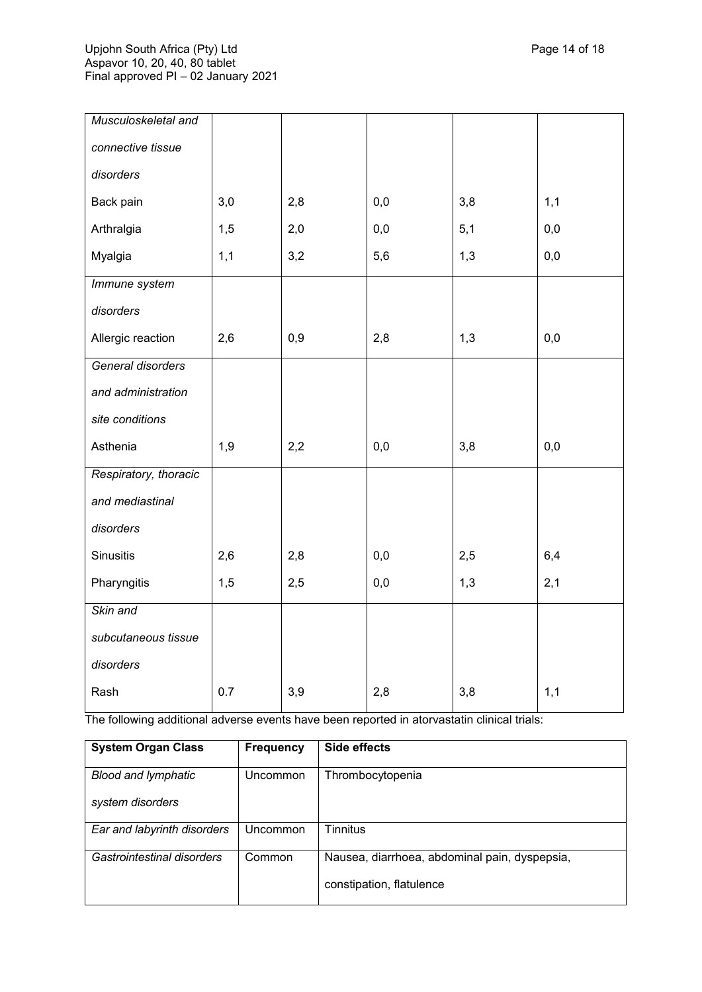| Musculoskeletal and   |     |     |     |     |     |
|-----------------------|-----|-----|-----|-----|-----|
| connective tissue     |     |     |     |     |     |
| disorders             |     |     |     |     |     |
| Back pain             | 3,0 | 2,8 | 0,0 | 3,8 | 1,1 |
| Arthralgia            | 1,5 | 2,0 | 0,0 | 5,1 | 0,0 |
| Myalgia               | 1,1 | 3,2 | 5,6 | 1,3 | 0,0 |
| Immune system         |     |     |     |     |     |
| disorders             |     |     |     |     |     |
| Allergic reaction     | 2,6 | 0,9 | 2,8 | 1,3 | 0,0 |
| General disorders     |     |     |     |     |     |
| and administration    |     |     |     |     |     |
| site conditions       |     |     |     |     |     |
| Asthenia              | 1,9 | 2,2 | 0,0 | 3,8 | 0,0 |
| Respiratory, thoracic |     |     |     |     |     |
| and mediastinal       |     |     |     |     |     |
| disorders             |     |     |     |     |     |
| <b>Sinusitis</b>      | 2,6 | 2,8 | 0,0 | 2,5 | 6,4 |
| Pharyngitis           | 1,5 | 2,5 | 0,0 | 1,3 | 2,1 |
| Skin and              |     |     |     |     |     |
| subcutaneous tissue   |     |     |     |     |     |
| disorders             |     |     |     |     |     |
| Rash                  | 0.7 | 3,9 | 2,8 | 3,8 | 1,1 |

The following additional adverse events have been reported in atorvastatin clinical trials:

| <b>System Organ Class</b>   | <b>Frequency</b> | Side effects                                  |
|-----------------------------|------------------|-----------------------------------------------|
| <b>Blood and lymphatic</b>  | Uncommon         | Thrombocytopenia                              |
| system disorders            |                  |                                               |
| Ear and labyrinth disorders | Uncommon         | Tinnitus                                      |
| Gastrointestinal disorders  | Common           | Nausea, diarrhoea, abdominal pain, dyspepsia, |
|                             |                  | constipation, flatulence                      |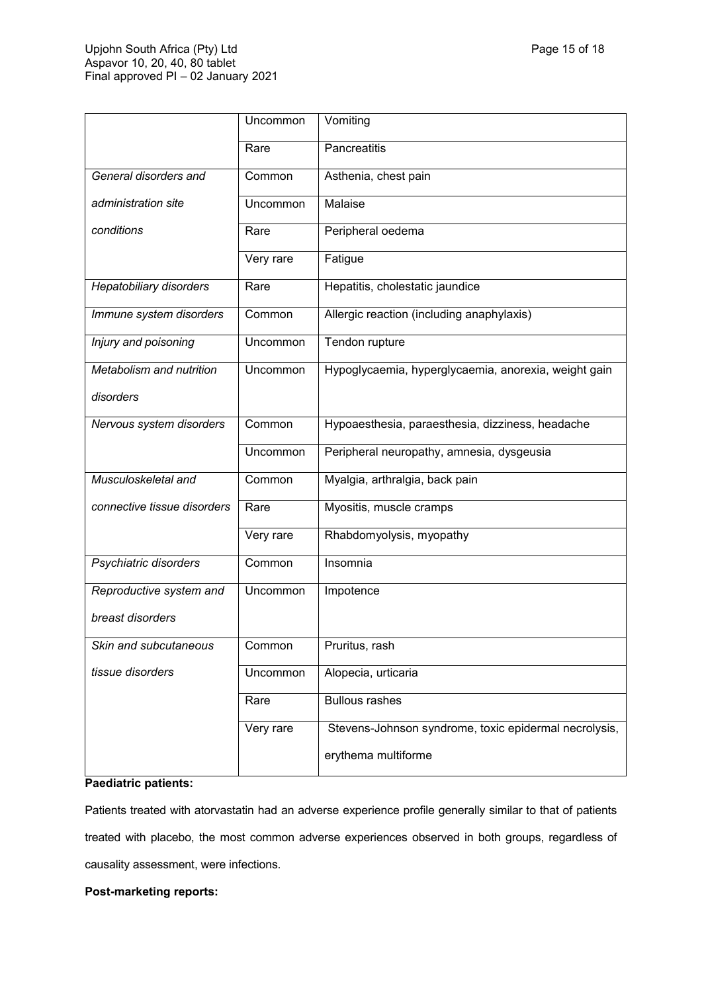|                                | Uncommon  | Vomiting                                              |
|--------------------------------|-----------|-------------------------------------------------------|
|                                | Rare      | Pancreatitis                                          |
| General disorders and          | Common    | Asthenia, chest pain                                  |
| administration site            | Uncommon  | Malaise                                               |
| conditions                     | Rare      | Peripheral oedema                                     |
|                                | Very rare | Fatigue                                               |
| <b>Hepatobiliary disorders</b> | Rare      | Hepatitis, cholestatic jaundice                       |
| Immune system disorders        | Common    | Allergic reaction (including anaphylaxis)             |
| Injury and poisoning           | Uncommon  | Tendon rupture                                        |
| Metabolism and nutrition       | Uncommon  | Hypoglycaemia, hyperglycaemia, anorexia, weight gain  |
| disorders                      |           |                                                       |
| Nervous system disorders       | Common    | Hypoaesthesia, paraesthesia, dizziness, headache      |
|                                |           |                                                       |
|                                | Uncommon  | Peripheral neuropathy, amnesia, dysgeusia             |
| Musculoskeletal and            | Common    | Myalgia, arthralgia, back pain                        |
| connective tissue disorders    | Rare      | Myositis, muscle cramps                               |
|                                | Very rare | Rhabdomyolysis, myopathy                              |
| Psychiatric disorders          | Common    | Insomnia                                              |
| Reproductive system and        | Uncommon  | Impotence                                             |
| breast disorders               |           |                                                       |
| Skin and subcutaneous          | Common    | Pruritus, rash                                        |
| tissue disorders               | Uncommon  | Alopecia, urticaria                                   |
|                                | Rare      | <b>Bullous rashes</b>                                 |
|                                | Very rare | Stevens-Johnson syndrome, toxic epidermal necrolysis, |

## **Paediatric patients:**

Patients treated with atorvastatin had an adverse experience profile generally similar to that of patients treated with placebo, the most common adverse experiences observed in both groups, regardless of causality assessment, were infections.

## **Post-marketing reports:**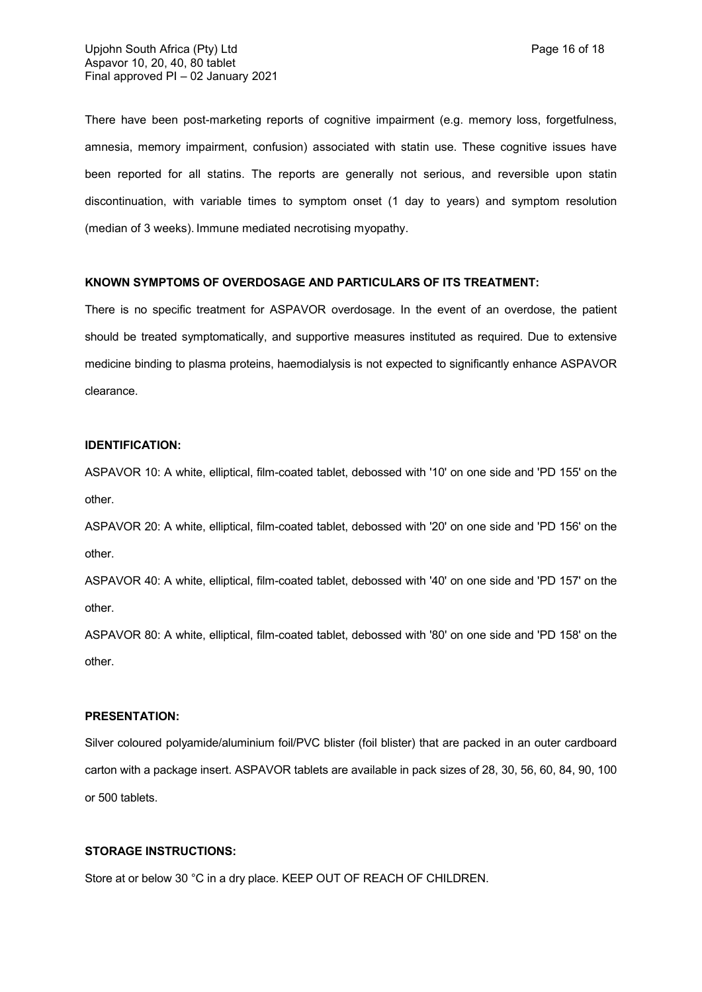There have been post-marketing reports of cognitive impairment (e.g. memory loss, forgetfulness, amnesia, memory impairment, confusion) associated with statin use. These cognitive issues have been reported for all statins. The reports are generally not serious, and reversible upon statin discontinuation, with variable times to symptom onset (1 day to years) and symptom resolution (median of 3 weeks). Immune mediated necrotising myopathy.

## **KNOWN SYMPTOMS OF OVERDOSAGE AND PARTICULARS OF ITS TREATMENT:**

There is no specific treatment for ASPAVOR overdosage. In the event of an overdose, the patient should be treated symptomatically, and supportive measures instituted as required. Due to extensive medicine binding to plasma proteins, haemodialysis is not expected to significantly enhance ASPAVOR clearance.

## **IDENTIFICATION:**

ASPAVOR 10: A white, elliptical, film-coated tablet, debossed with '10' on one side and 'PD 155' on the other.

ASPAVOR 20: A white, elliptical, film-coated tablet, debossed with '20' on one side and 'PD 156' on the other.

ASPAVOR 40: A white, elliptical, film-coated tablet, debossed with '40' on one side and 'PD 157' on the other.

ASPAVOR 80: A white, elliptical, film-coated tablet, debossed with '80' on one side and 'PD 158' on the other.

## **PRESENTATION:**

Silver coloured polyamide/aluminium foil/PVC blister (foil blister) that are packed in an outer cardboard carton with a package insert. ASPAVOR tablets are available in pack sizes of 28, 30, 56, 60, 84, 90, 100 or 500 tablets.

## **STORAGE INSTRUCTIONS:**

Store at or below 30 °C in a dry place. KEEP OUT OF REACH OF CHILDREN.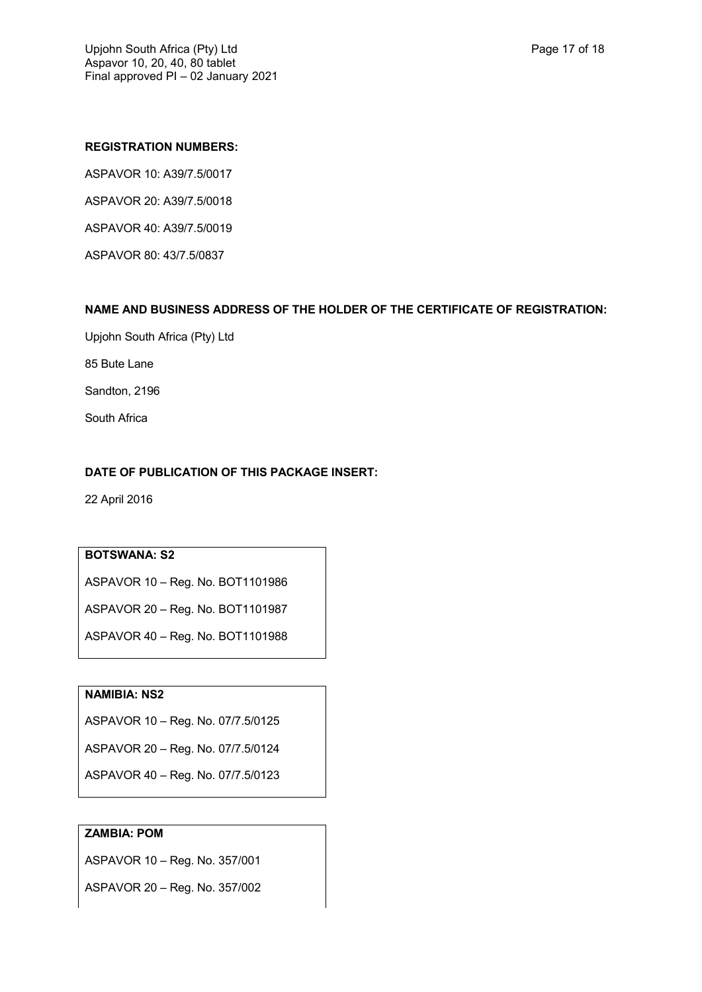## **REGISTRATION NUMBERS:**

ASPAVOR 10: A39/7.5/0017 ASPAVOR 20: A39/7.5/0018 ASPAVOR 40: A39/7.5/0019 ASPAVOR 80: 43/7.5/0837

## **NAME AND BUSINESS ADDRESS OF THE HOLDER OF THE CERTIFICATE OF REGISTRATION:**

Upjohn South Africa (Pty) Ltd

85 Bute Lane

Sandton, 2196

South Africa

# **DATE OF PUBLICATION OF THIS PACKAGE INSERT:**

22 April 2016

# **BOTSWANA: S2**

ASPAVOR 10 – Reg. No. BOT1101986

ASPAVOR 20 – Reg. No. BOT1101987

ASPAVOR 40 – Reg. No. BOT1101988

## **NAMIBIA: NS2**

ASPAVOR 10 – Reg. No. 07/7.5/0125

ASPAVOR 20 – Reg. No. 07/7.5/0124

ASPAVOR 40 – Reg. No. 07/7.5/0123

# **ZAMBIA: POM**

ASPAVOR 10 – Reg. No. 357/001

ASPAVOR 20 – Reg. No. 357/002